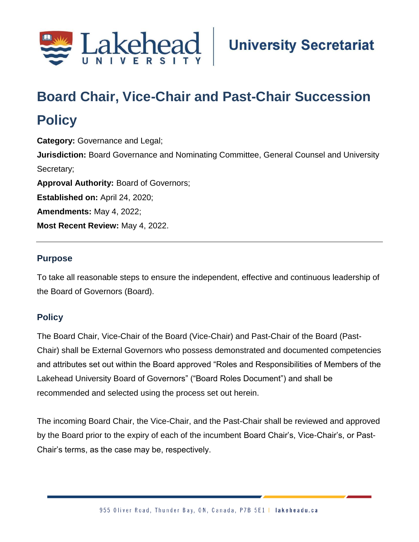

# **Board Chair, Vice-Chair and Past-Chair Succession**

## **Policy**

**Category:** Governance and Legal; **Jurisdiction:** Board Governance and Nominating Committee, General Counsel and University Secretary; **Approval Authority:** Board of Governors; **Established on:** April 24, 2020; **Amendments:** May 4, 2022; **Most Recent Review:** May 4, 2022.

## **Purpose**

To take all reasonable steps to ensure the independent, effective and continuous leadership of the Board of Governors (Board).

### **Policy**

The Board Chair, Vice-Chair of the Board (Vice-Chair) and Past-Chair of the Board (Past-Chair) shall be External Governors who possess demonstrated and documented competencies and attributes set out within the Board approved "Roles and Responsibilities of Members of the Lakehead University Board of Governors" ("Board Roles Document") and shall be recommended and selected using the process set out herein.

The incoming Board Chair, the Vice-Chair, and the Past-Chair shall be reviewed and approved by the Board prior to the expiry of each of the incumbent Board Chair's, Vice-Chair's, or Past-Chair's terms, as the case may be, respectively.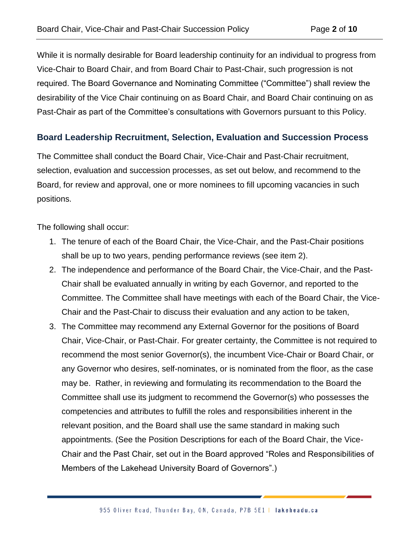While it is normally desirable for Board leadership continuity for an individual to progress from Vice-Chair to Board Chair, and from Board Chair to Past-Chair, such progression is not required. The Board Governance and Nominating Committee ("Committee") shall review the desirability of the Vice Chair continuing on as Board Chair, and Board Chair continuing on as Past-Chair as part of the Committee's consultations with Governors pursuant to this Policy.

#### **Board Leadership Recruitment, Selection, Evaluation and Succession Process**

The Committee shall conduct the Board Chair, Vice-Chair and Past-Chair recruitment, selection, evaluation and succession processes, as set out below, and recommend to the Board, for review and approval, one or more nominees to fill upcoming vacancies in such positions.

The following shall occur:

- 1. The tenure of each of the Board Chair, the Vice-Chair, and the Past-Chair positions shall be up to two years, pending performance reviews (see item 2).
- 2. The independence and performance of the Board Chair, the Vice-Chair, and the Past-Chair shall be evaluated annually in writing by each Governor, and reported to the Committee. The Committee shall have meetings with each of the Board Chair, the Vice-Chair and the Past-Chair to discuss their evaluation and any action to be taken,
- 3. The Committee may recommend any External Governor for the positions of Board Chair, Vice-Chair, or Past-Chair. For greater certainty, the Committee is not required to recommend the most senior Governor(s), the incumbent Vice-Chair or Board Chair, or any Governor who desires, self-nominates, or is nominated from the floor, as the case may be. Rather, in reviewing and formulating its recommendation to the Board the Committee shall use its judgment to recommend the Governor(s) who possesses the competencies and attributes to fulfill the roles and responsibilities inherent in the relevant position, and the Board shall use the same standard in making such appointments. (See the Position Descriptions for each of the Board Chair, the Vice-Chair and the Past Chair, set out in the Board approved "Roles and Responsibilities of Members of the Lakehead University Board of Governors".)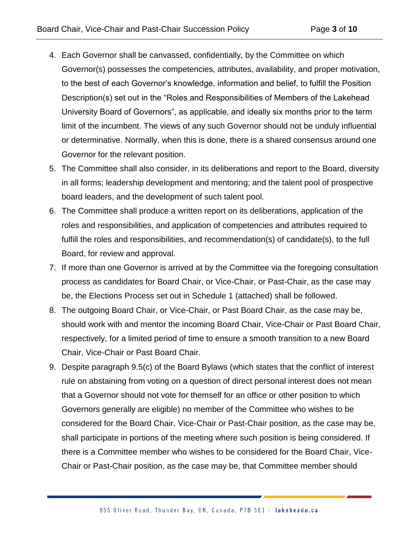- 4. Each Governor shall be canvassed, confidentially, by the Committee on which Governor(s) possesses the competencies, attributes, availability, and proper motivation, to the best of each Governor's knowledge, information and belief, to fulfill the Position Description(s) set out in the "Roles and Responsibilities of Members of the Lakehead University Board of Governors", as applicable, and ideally six months prior to the term limit of the incumbent. The views of any such Governor should not be unduly influential or determinative. Normally, when this is done, there is a shared consensus around one Governor for the relevant position.
- 5. The Committee shall also consider, in its deliberations and report to the Board, diversity in all forms; leadership development and mentoring; and the talent pool of prospective board leaders, and the development of such talent pool.
- 6. The Committee shall produce a written report on its deliberations, application of the roles and responsibilities, and application of competencies and attributes required to fulfill the roles and responsibilities, and recommendation(s) of candidate(s), to the full Board, for review and approval.
- 7. If more than one Governor is arrived at by the Committee via the foregoing consultation process as candidates for Board Chair, or Vice-Chair, or Past-Chair, as the case may be, the Elections Process set out in Schedule 1 (attached) shall be followed.
- 8. The outgoing Board Chair, or Vice-Chair, or Past Board Chair, as the case may be, should work with and mentor the incoming Board Chair, Vice-Chair or Past Board Chair, respectively, for a limited period of time to ensure a smooth transition to a new Board Chair, Vice-Chair or Past Board Chair.
- 9. Despite paragraph 9.5(c) of the Board Bylaws (which states that the conflict of interest rule on abstaining from voting on a question of direct personal interest does not mean that a Governor should not vote for themself for an office or other position to which Governors generally are eligible) no member of the Committee who wishes to be considered for the Board Chair, Vice-Chair or Past-Chair position, as the case may be, shall participate in portions of the meeting where such position is being considered. If there is a Committee member who wishes to be considered for the Board Chair, Vice-Chair or Past-Chair position, as the case may be, that Committee member should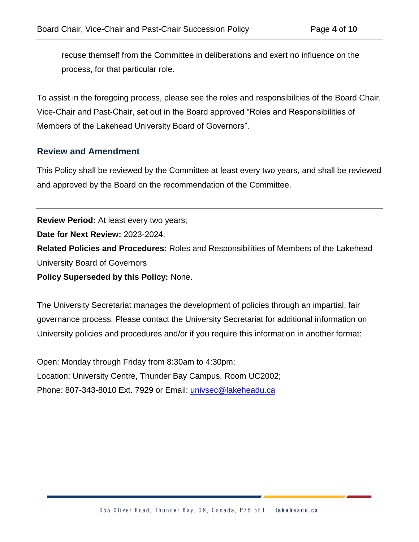recuse themself from the Committee in deliberations and exert no influence on the process, for that particular role.

To assist in the foregoing process, please see the roles and responsibilities of the Board Chair, Vice-Chair and Past-Chair, set out in the Board approved "Roles and Responsibilities of Members of the Lakehead University Board of Governors".

#### **Review and Amendment**

This Policy shall be reviewed by the Committee at least every two years, and shall be reviewed and approved by the Board on the recommendation of the Committee.

**Review Period:** At least every two years; **Date for Next Review:** 2023-2024; **Related Policies and Procedures:** Roles and Responsibilities of Members of the Lakehead University Board of Governors **Policy Superseded by this Policy:** None.

The University Secretariat manages the development of policies through an impartial, fair governance process. Please contact the University Secretariat for additional information on University policies and procedures and/or if you require this information in another format:

Open: Monday through Friday from 8:30am to 4:30pm; Location: University Centre, Thunder Bay Campus, Room UC2002; Phone: 807-343-8010 Ext. 7929 or Email: [univsec@lakeheadu.ca](mailto:univsec@lakeheadu.ca)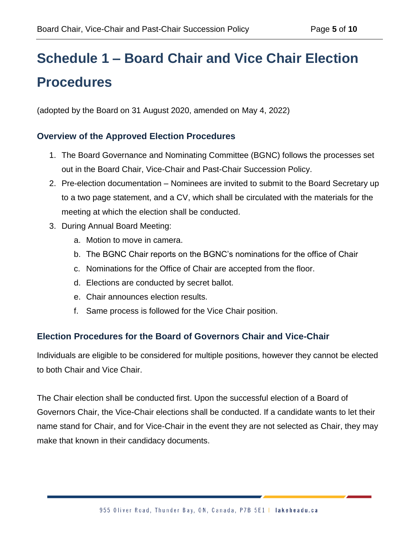# **Schedule 1 – Board Chair and Vice Chair Election Procedures**

(adopted by the Board on 31 August 2020, amended on May 4, 2022)

#### **Overview of the Approved Election Procedures**

- 1. The Board Governance and Nominating Committee (BGNC) follows the processes set out in the Board Chair, Vice-Chair and Past-Chair Succession Policy.
- 2. Pre-election documentation Nominees are invited to submit to the Board Secretary up to a two page statement, and a CV, which shall be circulated with the materials for the meeting at which the election shall be conducted.
- 3. During Annual Board Meeting:
	- a. Motion to move in camera.
	- b. The BGNC Chair reports on the BGNC's nominations for the office of Chair
	- c. Nominations for the Office of Chair are accepted from the floor.
	- d. Elections are conducted by secret ballot.
	- e. Chair announces election results.
	- f. Same process is followed for the Vice Chair position.

#### **Election Procedures for the Board of Governors Chair and Vice-Chair**

Individuals are eligible to be considered for multiple positions, however they cannot be elected to both Chair and Vice Chair.

The Chair election shall be conducted first. Upon the successful election of a Board of Governors Chair, the Vice-Chair elections shall be conducted. If a candidate wants to let their name stand for Chair, and for Vice-Chair in the event they are not selected as Chair, they may make that known in their candidacy documents.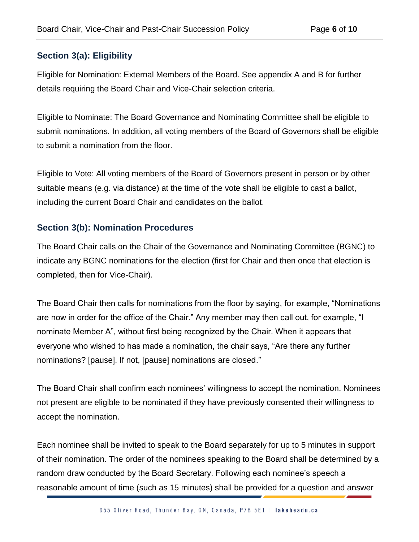### **Section 3(a): Eligibility**

Eligible for Nomination: External Members of the Board. See appendix A and B for further details requiring the Board Chair and Vice-Chair selection criteria.

Eligible to Nominate: The Board Governance and Nominating Committee shall be eligible to submit nominations. In addition, all voting members of the Board of Governors shall be eligible to submit a nomination from the floor.

Eligible to Vote: All voting members of the Board of Governors present in person or by other suitable means (e.g. via distance) at the time of the vote shall be eligible to cast a ballot, including the current Board Chair and candidates on the ballot.

#### **Section 3(b): Nomination Procedures**

The Board Chair calls on the Chair of the Governance and Nominating Committee (BGNC) to indicate any BGNC nominations for the election (first for Chair and then once that election is completed, then for Vice-Chair).

The Board Chair then calls for nominations from the floor by saying, for example, "Nominations are now in order for the office of the Chair." Any member may then call out, for example, "I nominate Member A", without first being recognized by the Chair. When it appears that everyone who wished to has made a nomination, the chair says, "Are there any further nominations? [pause]. If not, [pause] nominations are closed."

The Board Chair shall confirm each nominees' willingness to accept the nomination. Nominees not present are eligible to be nominated if they have previously consented their willingness to accept the nomination.

Each nominee shall be invited to speak to the Board separately for up to 5 minutes in support of their nomination. The order of the nominees speaking to the Board shall be determined by a random draw conducted by the Board Secretary. Following each nominee's speech a reasonable amount of time (such as 15 minutes) shall be provided for a question and answer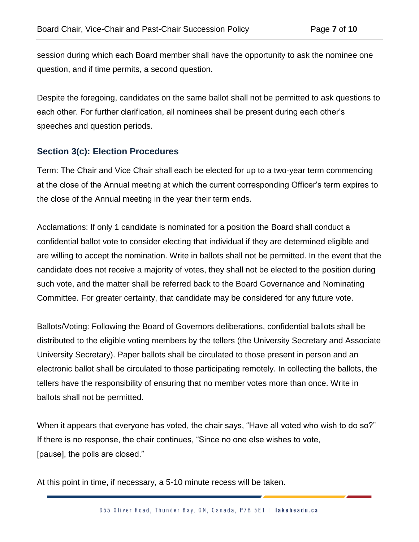session during which each Board member shall have the opportunity to ask the nominee one question, and if time permits, a second question.

Despite the foregoing, candidates on the same ballot shall not be permitted to ask questions to each other. For further clarification, all nominees shall be present during each other's speeches and question periods.

#### **Section 3(c): Election Procedures**

Term: The Chair and Vice Chair shall each be elected for up to a two-year term commencing at the close of the Annual meeting at which the current corresponding Officer's term expires to the close of the Annual meeting in the year their term ends.

Acclamations: If only 1 candidate is nominated for a position the Board shall conduct a confidential ballot vote to consider electing that individual if they are determined eligible and are willing to accept the nomination. Write in ballots shall not be permitted. In the event that the candidate does not receive a majority of votes, they shall not be elected to the position during such vote, and the matter shall be referred back to the Board Governance and Nominating Committee. For greater certainty, that candidate may be considered for any future vote.

Ballots/Voting: Following the Board of Governors deliberations, confidential ballots shall be distributed to the eligible voting members by the tellers (the University Secretary and Associate University Secretary). Paper ballots shall be circulated to those present in person and an electronic ballot shall be circulated to those participating remotely. In collecting the ballots, the tellers have the responsibility of ensuring that no member votes more than once. Write in ballots shall not be permitted.

When it appears that everyone has voted, the chair says, "Have all voted who wish to do so?" If there is no response, the chair continues, "Since no one else wishes to vote, [pause], the polls are closed."

At this point in time, if necessary, a 5-10 minute recess will be taken.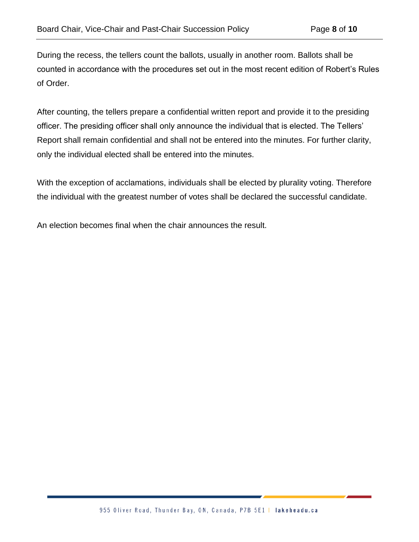During the recess, the tellers count the ballots, usually in another room. Ballots shall be counted in accordance with the procedures set out in the most recent edition of Robert's Rules of Order.

After counting, the tellers prepare a confidential written report and provide it to the presiding officer. The presiding officer shall only announce the individual that is elected. The Tellers' Report shall remain confidential and shall not be entered into the minutes. For further clarity, only the individual elected shall be entered into the minutes.

With the exception of acclamations, individuals shall be elected by plurality voting. Therefore the individual with the greatest number of votes shall be declared the successful candidate.

An election becomes final when the chair announces the result.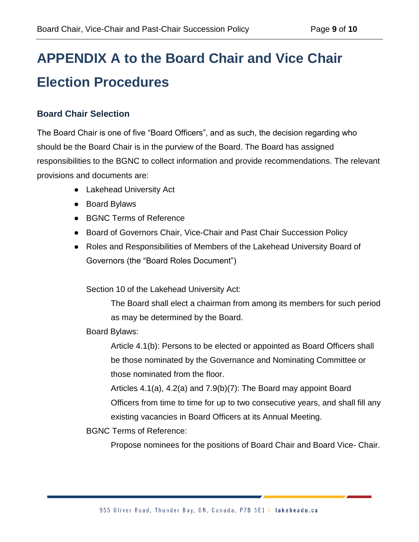# **APPENDIX A to the Board Chair and Vice Chair Election Procedures**

#### **Board Chair Selection**

The Board Chair is one of five "Board Officers", and as such, the decision regarding who should be the Board Chair is in the purview of the Board. The Board has assigned responsibilities to the BGNC to collect information and provide recommendations. The relevant provisions and documents are:

- Lakehead University Act
- Board Bylaws
- BGNC Terms of Reference
- Board of Governors Chair, Vice-Chair and Past Chair Succession Policy
- Roles and Responsibilities of Members of the Lakehead University Board of Governors (the "Board Roles Document")

Section 10 of the Lakehead University Act:

The Board shall elect a chairman from among its members for such period as may be determined by the Board.

#### Board Bylaws:

Article 4.1(b): Persons to be elected or appointed as Board Officers shall be those nominated by the Governance and Nominating Committee or those nominated from the floor.

Articles 4.1(a), 4.2(a) and 7.9(b)(7): The Board may appoint Board Officers from time to time for up to two consecutive years, and shall fill any existing vacancies in Board Officers at its Annual Meeting.

BGNC Terms of Reference:

Propose nominees for the positions of Board Chair and Board Vice- Chair.